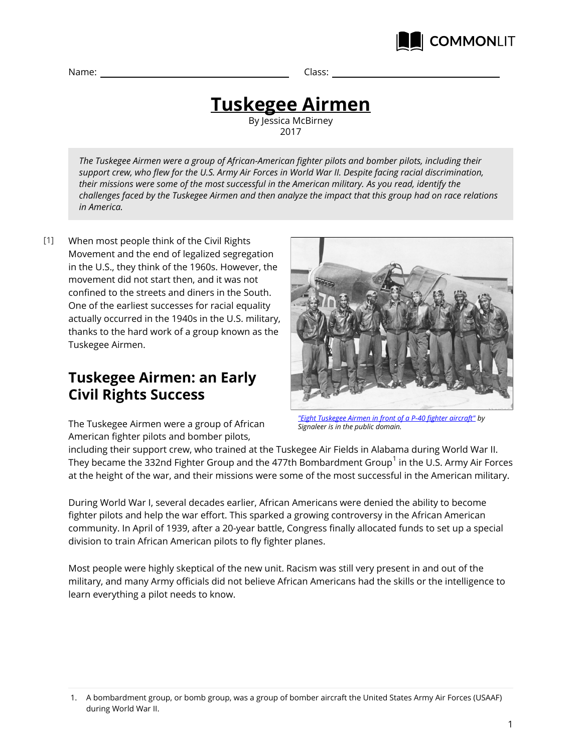

Name: Class:

# **Tuskegee Airmen**

By Jessica McBirney 2017

*The Tuskegee Airmen were a group of African-American fighter pilots and bomber pilots, including their support crew, who flew for the U.S. Army Air Forces in World War II. Despite facing racial discrimination, their missions were some of the most successful in the American military. As you read, identify the challenges faced by the Tuskegee Airmen and then analyze the impact that this group had on race relations in America.*

When most people think of the Civil Rights Movement and the end of legalized segregation in the U.S., they think of the 1960s. However, the movement did not start then, and it was not confined to the streets and diners in the South. One of the earliest successes for racial equality actually occurred in the 1940s in the U.S. military, thanks to the hard work of a group known as the Tuskegee Airmen.  $[1]$ 

## **Tuskegee Airmen: an Early Civil Rights Success**



The Tuskegee Airmen were a group of African American fighter pilots and bomber pilots,

*["Eight Tuskegee Airmen in front of a P-40 fighter aircraft"](https://en.wikipedia.org/wiki/Tuskegee_Airmen#/media/File:Tuskegee_Airmen_-_Circa_May_1942_to_Aug_1943.jpg) by Signaleer is in the public domain.*

including their support crew, who trained at the Tuskegee Air Fields in Alabama during World War II. They became the 332nd Fighter Group and the 477th Bombardment Group $^{\rm 1}$  in the U.S. Army Air Forces at the height of the war, and their missions were some of the most successful in the American military.

During World War I, several decades earlier, African Americans were denied the ability to become fighter pilots and help the war effort. This sparked a growing controversy in the African American community. In April of 1939, after a 20-year battle, Congress finally allocated funds to set up a special division to train African American pilots to fly fighter planes.

Most people were highly skeptical of the new unit. Racism was still very present in and out of the military, and many Army officials did not believe African Americans had the skills or the intelligence to learn everything a pilot needs to know.

<sup>1.</sup> A bombardment group, or bomb group, was a group of bomber aircraft the United States Army Air Forces (USAAF) during World War II.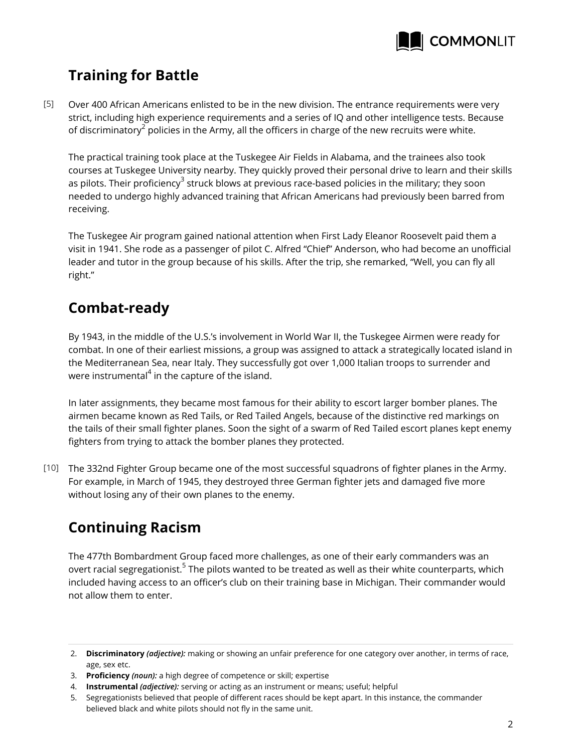

## **Training for Battle**

Over 400 African Americans enlisted to be in the new division. The entrance requirements were very strict, including high experience requirements and a series of IQ and other intelligence tests. Because of discriminatory $^2$  policies in the Army, all the officers in charge of the new recruits were white. [5]

The practical training took place at the Tuskegee Air Fields in Alabama, and the trainees also took courses at Tuskegee University nearby. They quickly proved their personal drive to learn and their skills as pilots. Their proficiency<sup>3</sup> struck blows at previous race-based policies in the military; they soon needed to undergo highly advanced training that African Americans had previously been barred from receiving.

The Tuskegee Air program gained national attention when First Lady Eleanor Roosevelt paid them a visit in 1941. She rode as a passenger of pilot C. Alfred "Chief" Anderson, who had become an unofficial leader and tutor in the group because of his skills. After the trip, she remarked, "Well, you can fly all right."

## **Combat-ready**

By 1943, in the middle of the U.S.'s involvement in World War II, the Tuskegee Airmen were ready for combat. In one of their earliest missions, a group was assigned to attack a strategically located island in the Mediterranean Sea, near Italy. They successfully got over 1,000 Italian troops to surrender and were instrumental $^{\mathtt{4}}$  in the capture of the island.

In later assignments, they became most famous for their ability to escort larger bomber planes. The airmen became known as Red Tails, or Red Tailed Angels, because of the distinctive red markings on the tails of their small fighter planes. Soon the sight of a swarm of Red Tailed escort planes kept enemy fighters from trying to attack the bomber planes they protected.

The 332nd Fighter Group became one of the most successful squadrons of fighter planes in the Army. [10] For example, in March of 1945, they destroyed three German fighter jets and damaged five more without losing any of their own planes to the enemy.

## **Continuing Racism**

The 477th Bombardment Group faced more challenges, as one of their early commanders was an overt racial segregationist.<sup>5</sup> The pilots wanted to be treated as well as their white counterparts, which included having access to an officer's club on their training base in Michigan. Their commander would not allow them to enter.

<sup>2.</sup> **Discriminatory** *(adjective):* making or showing an unfair preference for one category over another, in terms of race, age, sex etc.

<sup>3.</sup> **Proficiency** *(noun):* a high degree of competence or skill; expertise

<sup>4.</sup> **Instrumental** *(adjective):* serving or acting as an instrument or means; useful; helpful

<sup>5.</sup> Segregationists believed that people of different races should be kept apart. In this instance, the commander believed black and white pilots should not fly in the same unit.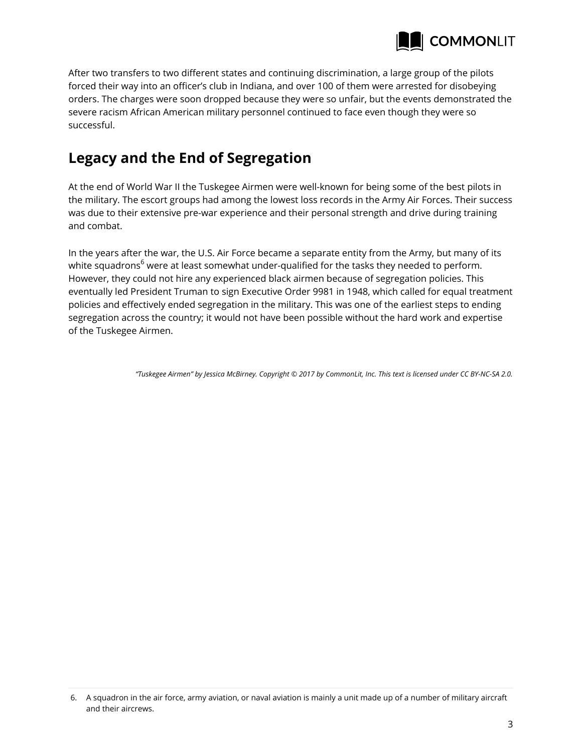

After two transfers to two different states and continuing discrimination, a large group of the pilots forced their way into an officer's club in Indiana, and over 100 of them were arrested for disobeying orders. The charges were soon dropped because they were so unfair, but the events demonstrated the severe racism African American military personnel continued to face even though they were so successful.

## **Legacy and the End of Segregation**

At the end of World War II the Tuskegee Airmen were well-known for being some of the best pilots in the military. The escort groups had among the lowest loss records in the Army Air Forces. Their success was due to their extensive pre-war experience and their personal strength and drive during training and combat.

In the years after the war, the U.S. Air Force became a separate entity from the Army, but many of its white squadrons<sup>6</sup> were at least somewhat under-qualified for the tasks they needed to perform. However, they could not hire any experienced black airmen because of segregation policies. This eventually led President Truman to sign Executive Order 9981 in 1948, which called for equal treatment policies and effectively ended segregation in the military. This was one of the earliest steps to ending segregation across the country; it would not have been possible without the hard work and expertise of the Tuskegee Airmen.

*"Tuskegee Airmen" by Jessica McBirney. Copyright © 2017 by CommonLit, Inc. This text is licensed under CC BY-NC-SA 2.0.*

<sup>6.</sup> A squadron in the air force, army aviation, or naval aviation is mainly a unit made up of a number of military aircraft and their aircrews.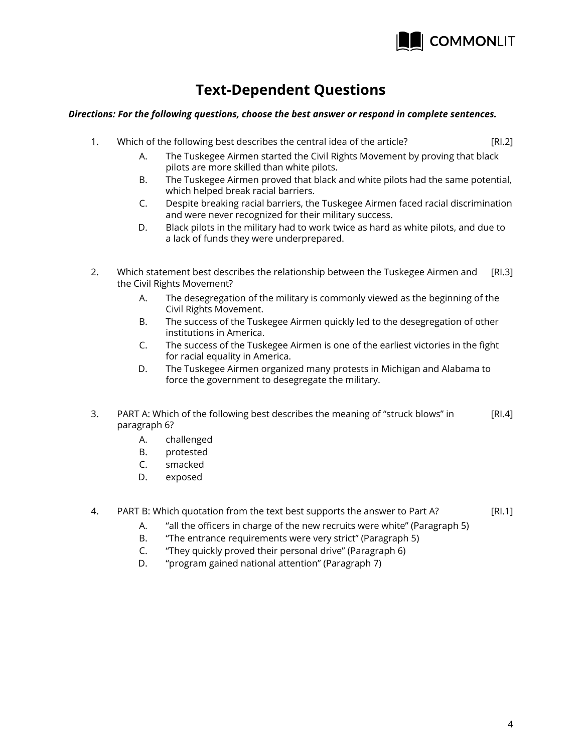

## **Text-Dependent Questions**

#### *Directions: For the following questions, choose the best answer or respond in complete sentences.*

- [RI.2] [RI.3] [RI.4] 1. Which of the following best describes the central idea of the article? A. The Tuskegee Airmen started the Civil Rights Movement by proving that black pilots are more skilled than white pilots. B. The Tuskegee Airmen proved that black and white pilots had the same potential, which helped break racial barriers. C. Despite breaking racial barriers, the Tuskegee Airmen faced racial discrimination and were never recognized for their military success. D. Black pilots in the military had to work twice as hard as white pilots, and due to a lack of funds they were underprepared. 2. Which statement best describes the relationship between the Tuskegee Airmen and the Civil Rights Movement? A. The desegregation of the military is commonly viewed as the beginning of the Civil Rights Movement. B. The success of the Tuskegee Airmen quickly led to the desegregation of other institutions in America. C. The success of the Tuskegee Airmen is one of the earliest victories in the fight for racial equality in America. D. The Tuskegee Airmen organized many protests in Michigan and Alabama to force the government to desegregate the military. 3. PART A: Which of the following best describes the meaning of "struck blows" in paragraph 6? A. challenged B. protested C. smacked
	- D. exposed
- [RI.1] 4. PART B: Which quotation from the text best supports the answer to Part A?
	- A. "all the officers in charge of the new recruits were white" (Paragraph 5)
	- B. "The entrance requirements were very strict" (Paragraph 5)
	- C. "They quickly proved their personal drive" (Paragraph 6)
	- D. "program gained national attention" (Paragraph 7)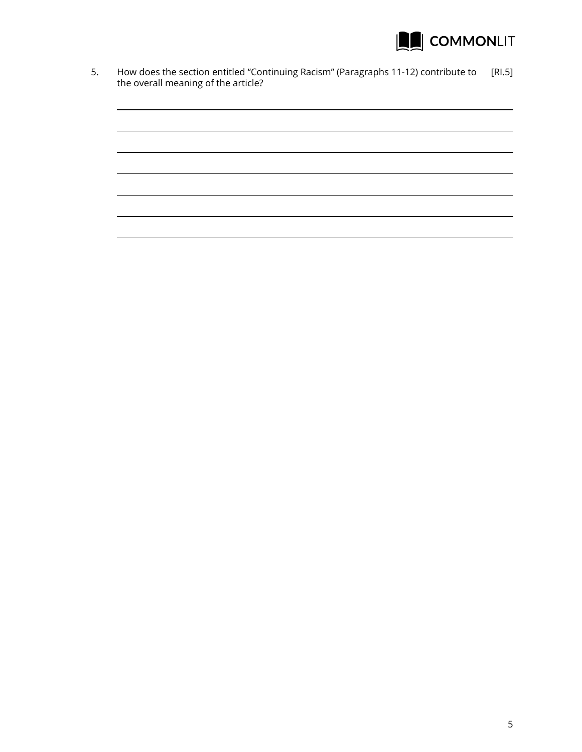

5. How does the section entitled "Continuing Racism" (Paragraphs 11-12) contribute to [RI.5] the overall meaning of the article?